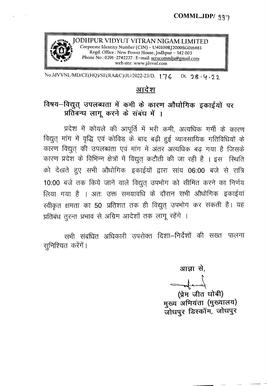

 $\sim$   $\alpha$ 

JODHPUR VIDYUT VITRAN NIGAM LIMITED Examples a Corporate Identity Number (CIN) - U40109RJ2000SG01648<br>Regd. Office: New Power House, Jodhpur - 342 003 *~C'101' .. ..,,~* Phone No: 0291-2742227: E-mail: seracommlju@gmail.com web site: www.jdvvnl.com

*No.JdVVNL/MD/CE(HQ)/SE(RA&C)/JU/2022-23/D.* 176 Dt. 28.4.22

## <u>आदेश</u>

## विषय-विद्युत् उपलब्धता में कमी के कारण औधोगिक इकाईयों पर प्रतिबन्ध लागू करने के संबंध में ।

प्रदेश में कोयले की आपूर्ति में भरी कमी, अत्यधिक गर्मी के कारण विद्युत् मांग में वृद्धि एवं कोविड के बाद बढ़ी हुई व्यावसायिक गतिविधियों के कारण विद्युत् की उपलब्धता एवं मांग में अंतर अत्यधिक बढ़ गया है जिसके कारण प्रदेश के विभिन्न क्षेत्रों में विद्युत् कटौती की जा रही है । इस स्थिति को देखते हुए सभी औधोगिक इकाईयों द्वारा सांय 06:00 बजे से रात्रि 10:00 बजे तक किये जाने वाले विद्युत् उपभोग को सीमित करने का निर्णय लिया गया है । अतः उक्त समयावधि के दौरान सभी औधोगिक इकाईयां स्वीकृत क्षमता का 50 प्रतिशत तक ही विद्युत् उपभोग कर सकती है। यह प्रतिबंध तुरन्त प्रभाव से अग्रिम आदेशों तक लागू रहेंगे ।

सभी संबंधित अधिकारी उपरोक्त दिशा—निर्देशों की सख्त पालना 'सुनिश्चित करेंगें ।

आज्ञा से.

 $=$ 

(प्रेम जीत धोबी) मुख्य अभियंता (मुख्यालय) जोधपुर डिस्कॉम, जोधपुर